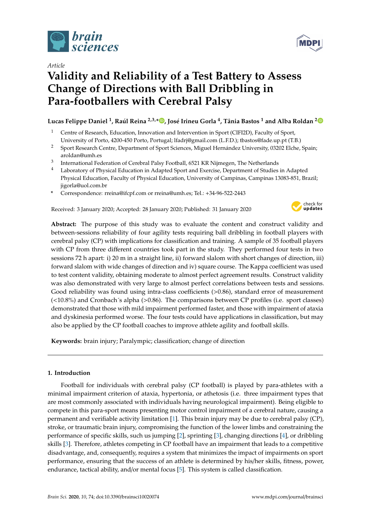

*Article*

# **Validity and Reliability of a Test Battery to Assess Change of Directions with Ball Dribbling in Para-footballers with Cerebral Palsy**

**Lucas Felippe Daniel <sup>1</sup> , Raúl Reina 2,3,[\\*](https://orcid.org/0000-0003-0279-7802) , José Irineu Gorla <sup>4</sup> , Tânia Bastos <sup>1</sup> and Alba Roldan [2](https://orcid.org/0000-0001-5232-5825)**

- <sup>1</sup> Centre of Research, Education, Innovation and Intervention in Sport (CIFI2D), Faculty of Sport, University of Porto, 4200-450 Porto, Portugal; lfadrj@gmail.com (L.F.D.); tbastos@fade.up.pt (T.B.)
- <sup>2</sup> Sport Research Centre, Department of Sport Sciences, Miguel Hernández University, 03202 Elche, Spain; aroldan@umh.es
- 3 International Federation of Cerebral Palsy Football, 6521 KR Nijmegen, The Netherlands
- <sup>4</sup> Laboratory of Physical Education in Adapted Sport and Exercise, Department of Studies in Adapted Physical Education, Faculty of Physical Education, University of Campinas, Campinas 13083-851, Brazil; jigorla@uol.com.br
- **\*** Correspondence: rreina@ifcpf.com or rreina@umh.es; Tel.: +34-96-522-2443

Received: 3 January 2020; Accepted: 28 January 2020; Published: 31 January 2020



**Abstract:** The purpose of this study was to evaluate the content and construct validity and between-sessions reliability of four agility tests requiring ball dribbling in football players with cerebral palsy (CP) with implications for classification and training. A sample of 35 football players with CP from three different countries took part in the study. They performed four tests in two sessions 72 h apart: i) 20 m in a straight line, ii) forward slalom with short changes of direction, iii) forward slalom with wide changes of direction and iv) square course. The Kappa coefficient was used to test content validity, obtaining moderate to almost perfect agreement results. Construct validity was also demonstrated with very large to almost perfect correlations between tests and sessions. Good reliability was found using intra-class coefficients (>0.86), standard error of measurement (<10.8%) and Cronbach´s alpha (>0.86). The comparisons between CP profiles (i.e. sport classes) demonstrated that those with mild impairment performed faster, and those with impairment of ataxia and dyskinesia performed worse. The four tests could have applications in classification, but may also be applied by the CP football coaches to improve athlete agility and football skills.

**Keywords:** brain injury; Paralympic; classification; change of direction

## **1. Introduction**

Football for individuals with cerebral palsy (CP football) is played by para-athletes with a minimal impairment criterion of ataxia, hypertonia, or athetosis (i.e. three impairment types that are most commonly associated with individuals having neurological impairment). Being eligible to compete in this para-sport means presenting motor control impairment of a cerebral nature, causing a permanent and verifiable activity limitation [\[1\]](#page-8-0). This brain injury may be due to cerebral palsy (CP), stroke, or traumatic brain injury, compromising the function of the lower limbs and constraining the performance of specific skills, such us jumping [\[2\]](#page-8-1), sprinting [\[3\]](#page-9-0), changing directions [\[4\]](#page-9-1), or dribbling skills [\[3\]](#page-9-0). Therefore, athletes competing in CP football have an impairment that leads to a competitive disadvantage, and, consequently, requires a system that minimizes the impact of impairments on sport performance, ensuring that the success of an athlete is determined by his/her skills, fitness, power, endurance, tactical ability, and/or mental focus [\[5\]](#page-9-2). This system is called classification.

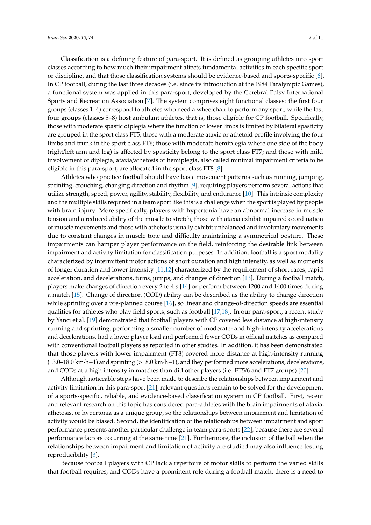Classification is a defining feature of para-sport. It is defined as grouping athletes into sport classes according to how much their impairment affects fundamental activities in each specific sport or discipline, and that those classification systems should be evidence-based and sports-specific [\[6\]](#page-9-3). In CP football, during the last three decades (i.e. since its introduction at the 1984 Paralympic Games), a functional system was applied in this para-sport, developed by the Cerebral Palsy International Sports and Recreation Association [\[7\]](#page-9-4). The system comprises eight functional classes: the first four groups (classes 1–4) correspond to athletes who need a wheelchair to perform any sport, while the last four groups (classes 5–8) host ambulant athletes, that is, those eligible for CP football. Specifically, those with moderate spastic diplegia where the function of lower limbs is limited by bilateral spasticity are grouped in the sport class FT5; those with a moderate ataxic or athetoid profile involving the four limbs and trunk in the sport class FT6; those with moderate hemiplegia where one side of the body (right/left arm and leg) is affected by spasticity belong to the sport class FT7; and those with mild involvement of diplegia, ataxia/athetosis or hemiplegia, also called minimal impairment criteria to be eligible in this para-sport, are allocated in the sport class FT8 [\[8\]](#page-9-5).

Athletes who practice football should have basic movement patterns such as running, jumping, sprinting, crouching, changing direction and rhythm [\[9\]](#page-9-6), requiring players perform several actions that utilize strength, speed, power, agility, stability, flexibility, and endurance [\[10\]](#page-9-7). This intrinsic complexity and the multiple skills required in a team sport like this is a challenge when the sport is played by people with brain injury. More specifically, players with hypertonia have an abnormal increase in muscle tension and a reduced ability of the muscle to stretch, those with ataxia exhibit impaired coordination of muscle movements and those with athetosis usually exhibit unbalanced and involuntary movements due to constant changes in muscle tone and difficulty maintaining a symmetrical posture. These impairments can hamper player performance on the field, reinforcing the desirable link between impairment and activity limitation for classification purposes. In addition, football is a sport modality characterized by intermittent motor actions of short duration and high intensity, as well as moments of longer duration and lower intensity [\[11](#page-9-8)[,12\]](#page-9-9) characterized by the requirement of short races, rapid acceleration, and decelerations, turns, jumps, and changes of direction [\[13\]](#page-9-10). During a football match, players make changes of direction every 2 to 4 s [\[14\]](#page-9-11) or perform between 1200 and 1400 times during a match [\[15\]](#page-9-12). Change of direction (COD) ability can be described as the ability to change direction while sprinting over a pre-planned course [\[16\]](#page-9-13), so linear and change-of-direction speeds are essential qualities for athletes who play field sports, such as football [\[17](#page-9-14)[,18\]](#page-9-15). In our para-sport, a recent study by Yanci et al. [\[19\]](#page-9-16) demonstrated that football players with CP covered less distance at high-intensity running and sprinting, performing a smaller number of moderate- and high-intensity accelerations and decelerations, had a lower player load and performed fewer CODs in official matches as compared with conventional football players as reported in other studies. In addition, it has been demonstrated that those players with lower impairment (FT8) covered more distance at high-intensity running (13.0–18.0 km·h−1) and sprinting (>18.0 km·h−1), and they performed more accelerations, decelerations, and CODs at a high intensity in matches than did other players (i.e. FT5/6 and FT7 groups) [\[20\]](#page-9-17).

Although noticeable steps have been made to describe the relationships between impairment and activity limitation in this para-sport [\[21\]](#page-9-18), relevant questions remain to be solved for the development of a sports-specific, reliable, and evidence-based classification system in CP football. First, recent and relevant research on this topic has considered para-athletes with the brain impairments of ataxia, athetosis, or hypertonia as a unique group, so the relationships between impairment and limitation of activity would be biased. Second, the identification of the relationships between impairment and sport performance presents another particular challenge in team para-sports [\[22\]](#page-9-19), because there are several performance factors occurring at the same time [\[21\]](#page-9-18). Furthermore, the inclusion of the ball when the relationships between impairment and limitation of activity are studied may also influence testing reproducibility [\[3\]](#page-9-0).

Because football players with CP lack a repertoire of motor skills to perform the varied skills that football requires, and CODs have a prominent role during a football match, there is a need to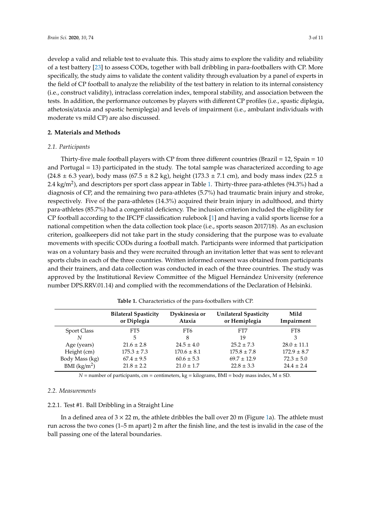develop a valid and reliable test to evaluate this. This study aims to explore the validity and reliability of a test battery [\[23\]](#page-9-20) to assess CODs, together with ball dribbling in para-footballers with CP. More specifically, the study aims to validate the content validity through evaluation by a panel of experts in the field of CP football to analyze the reliability of the test battery in relation to its internal consistency (i.e., construct validity), intraclass correlation index, temporal stability, and association between the tests. In addition, the performance outcomes by players with different CP profiles (i.e., spastic diplegia, athetosis/ataxia and spastic hemiplegia) and levels of impairment (i.e., ambulant individuals with moderate vs mild CP) are also discussed.

### **2. Materials and Methods**

### *2.1. Participants*

Thirty-five male football players with CP from three different countries (Brazil = 12, Spain = 10 and Portugal = 13) participated in the study. The total sample was characterized according to age  $(24.8 \pm 6.3 \text{ year})$ , body mass  $(67.5 \pm 8.2 \text{ kg})$ , height  $(173.3 \pm 7.1 \text{ cm})$ , and body mass index  $(22.5 \pm 1.1 \text{ cm})$ 2.4 kg/m<sup>2</sup>), and descriptors per sport class appear in Table [1.](#page-2-0) Thirty-three para-athletes (94.3%) had a diagnosis of CP, and the remaining two para-athletes (5.7%) had traumatic brain injury and stroke, respectively. Five of the para-athletes (14.3%) acquired their brain injury in adulthood, and thirty para-athletes (85.7%) had a congenital deficiency. The inclusion criterion included the eligibility for CP football according to the IFCPF classification rulebook [\[1\]](#page-8-0) and having a valid sports license for a national competition when the data collection took place (i.e., sports season 2017/18). As an exclusion criterion, goalkeepers did not take part in the study considering that the purpose was to evaluate movements with specific CODs during a football match. Participants were informed that participation was on a voluntary basis and they were recruited through an invitation letter that was sent to relevant sports clubs in each of the three countries. Written informed consent was obtained from participants and their trainers, and data collection was conducted in each of the three countries. The study was approved by the Institutional Review Committee of the Miguel Hernández University (reference number DPS.RRV.01.14) and complied with the recommendations of the Declaration of Helsinki.

<span id="page-2-0"></span>

|                | <b>Bilateral Spasticity</b><br>or Diplegia | Dyskinesia or<br>Ataxia | <b>Unilateral Spasticity</b><br>or Hemiplegia | Mild<br>Impairment |
|----------------|--------------------------------------------|-------------------------|-----------------------------------------------|--------------------|
| Sport Class    | FT5                                        | FT6                     | FT7                                           | FT8                |
| N              | 5                                          | 8                       | 19                                            | 3                  |
| Age (years)    | $21.6 \pm 2.8$                             | $24.5 \pm 4.0$          | $25.2 \pm 7.3$                                | $28.0 \pm 11.1$    |
| Height (cm)    | $175.3 \pm 7.3$                            | $170.6 \pm 8.1$         | $175.8 \pm 7.8$                               | $172.9 \pm 8.7$    |
| Body Mass (kg) | $67.4 \pm 9.5$                             | $60.6 \pm 5.3$          | $69.7 \pm 12.9$                               | $72.3 \pm 5.0$     |
| BMI $(kg/m2)$  | $21.8 \pm 2.2$                             | $21.0 \pm 1.7$          | $22.8 \pm 3.3$                                | $24.4 \pm 2.4$     |

**Table 1.** Characteristics of the para-footballers with CP.

 $N =$  number of participants, cm = centimeters, kg = kilograms, BMI = body mass index,  $M \pm SD$ .

### *2.2. Measurements*

### 2.2.1. Test #1. Ball Dribbling in a Straight Line

In a defined area of  $3 \times 22$  m, the athlete dribbles the ball over 20 m (Figure [1a](#page-3-0)). The athlete must run across the two cones (1–5 m apart) 2 m after the finish line, and the test is invalid in the case of the ball passing one of the lateral boundaries.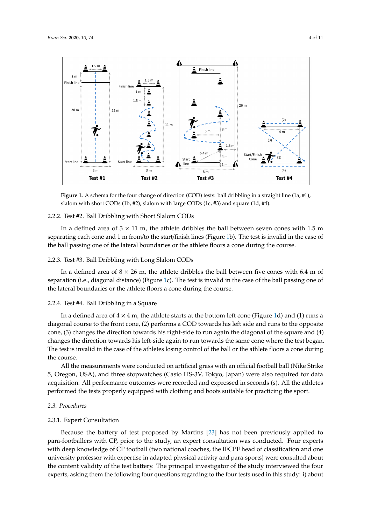<span id="page-3-0"></span>

**Figure 1.** A schema for the four change of direction (COD) tests: ball dribbling in a straight line (1a, #1), slalom with short CODs (1b, #2), slalom with large CODs (1c, #3) and square (1d, #4).

# 2.2.2. Test #2. Ball Dribbling with Short Slalom CODs 2.2.2. Test #2. Ball Dribbling with Short Slalom CODs

In a defined area of  $3 \times 11$  m, the athlete dribbles the ball between seven cones with  $1.5$  m separating each cone and 1 m from/to the start/finish lines (Figure 1b). The test is invalid in the case separating each cone and 1 m from/to the start/finish lines (Figure [1b](#page-3-0)). The test is invalid in the case of the ball passing one of the lateral boundaries or the athlete floors a cone during the course.

# 2.2.3. Test #3. Ball Dribbling with Long Slalom CODs 2.2.3. Test #3. Ball Dribbling with Long Slalom CODs

In a defined area of  $8 \times 26$  m, the athlete dribbles the ball between five cones with 6.4 m of  $s^2$  separation (i.e., distance) (Figure 1c). The test is invalid in the case of the ball passing one of the ball passing one of the ball passing one of the ball passing one of the ball passing one of the ball passing on separation (i.e., diagonal distance) (Figure [1c](#page-3-0)). The test is invalid in the case of the ball passing one of the lateral boundaries or the athlete floors a cone during the course.

### $2.2.2.4.$  Test  $2.4.4.$  Test  $2.4.4.$  $\mathcal{I}$  are a defined at the athlete starts at the bottom left cone (Figure 1d) and (1) runs and (1) runs and (1) runs at the bottom left cone (Figure 1d) and (1) runs at the bottom left cone (Figure 1d) and (1) runs at 2.2.4. Test #4. Ball Dribbling in a Square

In a defined area of  $4 \times 4$  m, the athlete starts at the bottom left cone (Figure [1d](#page-3-0)) and (1) runs a diagonal course to the front cone, (2) performs a COD towards his left side and runs to the opposite cone, (3) changes the direction towards his right-side to run again the diagonal of the square and (4) changes the direction towards his left-side again to run towards the same cone where the test began. o<br>et is inval The test is invalid in the case of the athletes losing control of the ball or the athlete floors a cone during<br>the secures the course.

5, Oregon, USA), and three stopwatches (Casio HS-3V, Tokyo, Japan) were also required for data All the measurements were conducted on artificial grass with an official football ball (Nike Strike  $\overline{\phantom{a}}$ 5, Oregon, USA), and three stopwatches (Casio HS-3V, Tokyo, Japan) were also required for data *2.3. Procedures*  performed the tests properly equipped with clothing and boots suitable for practicing the sport. acquisition. All performance outcomes were recorded and expressed in seconds (s). All the athletes

### 2.3.1. Expert Consultation *2.3. Procedures*

#### $\mathcal{B}$  has not been proposed by Martins [23] has not been previously applied to parafootballers with CP, prior to the study, an expert consultation was conducted. Four experts with deep 2.3.1. Expert Consultation

Because the battery of test proposed by Martins [\[23\]](#page-9-20) has not been previously applied to para-footballers with CP, prior to the study, an expert consultation was conducted. Four experts T<br>with deep knowledge of CP football (two national coaches, the IFCPF head of classification and one university professor with expertise in adapted physical activity and para-sports) were consulted about the content validity of the test battery. The principal investigator of the study interviewed the four experts, asking them the following four questions regarding to the four tests used in this study: i) about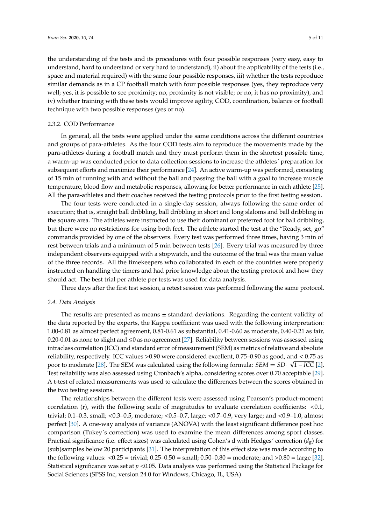the understanding of the tests and its procedures with four possible responses (very easy, easy to understand, hard to understand or very hard to understand), ii) about the applicability of the tests (i.e., space and material required) with the same four possible responses, iii) whether the tests reproduce similar demands as in a CP football match with four possible responses (yes, they reproduce very well; yes, it is possible to see proximity; no, proximity is not visible; or no, it has no proximity), and iv) whether training with these tests would improve agility, COD, coordination, balance or football technique with two possible responses (yes or no).

### 2.3.2. COD Performance

In general, all the tests were applied under the same conditions across the different countries and groups of para-athletes. As the four COD tests aim to reproduce the movements made by the para-athletes during a football match and they must perform them in the shortest possible time, a warm-up was conducted prior to data collection sessions to increase the athletes´ preparation for subsequent efforts and maximize their performance [\[24\]](#page-9-21). An active warm-up was performed, consisting of 15 min of running with and without the ball and passing the ball with a goal to increase muscle temperature, blood flow and metabolic responses, allowing for better performance in each athlete [\[25\]](#page-9-22). All the para-athletes and their coaches received the testing protocols prior to the first testing session.

The four tests were conducted in a single-day session, always following the same order of execution; that is, straight ball dribbling, ball dribbling in short and long slaloms and ball dribbling in the square area. The athletes were instructed to use their dominant or preferred foot for ball dribbling, but there were no restrictions for using both feet. The athlete started the test at the "Ready, set, go" commands provided by one of the observers. Every test was performed three times, having 3 min of rest between trials and a minimum of 5 min between tests [\[26\]](#page-10-0). Every trial was measured by three independent observers equipped with a stopwatch, and the outcome of the trial was the mean value of the three records. All the timekeepers who collaborated in each of the countries were properly instructed on handling the timers and had prior knowledge about the testing protocol and how they should act. The best trial per athlete per tests was used for data analysis.

Three days after the first test session, a retest session was performed following the same protocol.

### *2.4. Data Analysis*

The results are presented as means  $\pm$  standard deviations. Regarding the content validity of the data reported by the experts, the Kappa coefficient was used with the following interpretation: 1.00-0.81 as almost perfect agreement, 0.81-0.61 as substantial, 0.41-0.60 as moderate, 0.40-0.21 as fair, 0.20-0.01 as none to slight and ≤0 as no agreement [\[27\]](#page-10-1). Reliability between sessions was assessed using intraclass correlation (ICC) and standard error of measurement (SEM) as metrics of relative and absolute reliability, respectively. ICC values >0.90 were considered excellent, 0.75–0.90 as good, and < 0.75 as √ poor to moderate [\[28\]](#page-10-2). The SEM was calculated using the following formula: *SEM* = *SD*· 1 − *ICC* [\[2\]](#page-8-1). Test reliability was also assessed using Cronbach's alpha, considering scores over 0.70 acceptable [\[29\]](#page-10-3). A t-test of related measurements was used to calculate the differences between the scores obtained in the two testing sessions.

The relationships between the different tests were assessed using Pearson's product-moment correlation (r), with the following scale of magnitudes to evaluate correlation coefficients:  $\langle 0.1, \rangle$ trivial; 0.1–0.3, small; <0.3–0.5, moderate; <0.5–0.7, large; <0.7–0.9, very large; and <0.9–1.0, almost perfect [\[30\]](#page-10-4). A one-way analysis of variance (ANOVA) with the least significant difference post hoc comparison (Tukey´s correction) was used to examine the mean differences among sport classes. Practical significance (i.e. effect sizes) was calculated using Cohen's d with Hedges' correction  $(d_g)$  for (sub)samples below 20 participants [\[31\]](#page-10-5). The interpretation of this effect size was made according to the following values:  $< 0.25 =$  trivial;  $0.25 - 0.50 =$  small;  $0.50 - 0.80 =$  moderate; and  $> 0.80 =$  large [\[32\]](#page-10-6). Statistical significance was set at  $p < 0.05$ . Data analysis was performed using the Statistical Package for Social Sciences (SPSS Inc, version 24.0 for Windows, Chicago, IL, USA).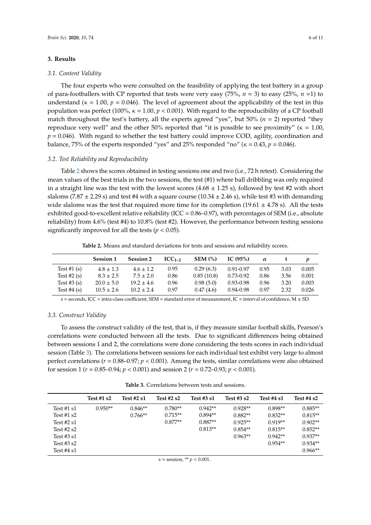### **3. Results**

### *3.1. Content Validity*

The four experts who were consulted on the feasibility of applying the test battery in a group of para-footballers with CP reported that tests were very easy  $(75\%, n = 3)$  to easy  $(25\%, n = 1)$  to understand ( $\kappa = 1.00$ ,  $p = 0.046$ ). The level of agreement about the applicability of the test in this population was perfect (100%, κ = 1.00, *p* < 0.001). With regard to the reproducibility of a CP football match throughout the test's battery, all the experts agreed "yes", but 50% (*n* = 2) reported "they reproduce very well" and the other 50% reported that "it is possible to see proximity" ( $\kappa = 1.00$ , *p* = 0.046). With regard to whether the test battery could improve COD, agility, coordination and balance, 75% of the experts responded "yes" and 25% responded "no" ( $\kappa = 0.43$ ,  $p = 0.046$ ).

### *3.2. Test Reliability and Reproducibility*

Table [2](#page-5-0) shows the scores obtained in testing sessions one and two (i.e., 72 h retest). Considering the mean values of the best trials in the two sessions, the test (#1) where ball dribbling was only required in a straight line was the test with the lowest scores  $(4.68 \pm 1.25 \text{ s})$ , followed by test #2 with short slaloms (7.87  $\pm$  2.29 s) and test #4 with a square course (10.34  $\pm$  2.46 s), while test #3 with demanding wide slaloms was the test that required more time for its completion (19.61  $\pm$  4.78 s). All the tests exhibited good-to-excellent relative reliability (ICC = 0.86–0.97), with percentages of SEM (i.e., absolute reliability) from 4.6% (test #4) to 10.8% (test #2). However, the performance between testing sessions significantly improved for all the tests ( $p < 0.05$ ).

**Table 2.** Means and standard deviations for tests and sessions and reliability scores.

<span id="page-5-0"></span>

|               | <b>Session 1</b> | <b>Session 2</b> | $ICC1-2$ | SEM (%)    | IC $(95\%)$   | $\alpha$ |      |       |
|---------------|------------------|------------------|----------|------------|---------------|----------|------|-------|
| Test #1 $(s)$ | $4.8 \pm 1.3$    | $4.6 \pm 1.2$    | 0.95     | 0.29(6.3)  | 0.91-0.97     | 0.95     | 3.03 | 0.005 |
| Test #2 $(s)$ | $8.3 \pm 2.5$    | $7.5 \pm 2.0$    | 0.86     | 0.85(10.8) | $0.73 - 0.92$ | 0.86     | 3.56 | 0.001 |
| Test #3 $(s)$ | $20.0 \pm 5.0$   | $19.2 \pm 4.6$   | 0.96     | 0.98(5.0)  | $0.93 - 0.98$ | 0.96     | 3.20 | 0.003 |
| Test $#4(s)$  | $10.5 \pm 2.6$   | $10.2 \pm 2.4$   | 0.97     | 0.47(4.6)  | $0.94 - 0.98$ | 0.97     | 2.32 | 0.026 |

 $s =$  seconds, ICC = intra-class coefficient, SEM = standard error of measurement, IC = interval of confidence, M  $\pm$  SD.

### *3.3. Construct Validity*

To assess the construct validity of the test, that is, if they measure similar football skills, Pearson's correlations were conducted between all the tests. Due to significant differences being obtained between sessions 1 and 2, the correlations were done considering the tests scores in each individual session (Table [3\)](#page-5-1). The correlations between sessions for each individual test exhibit very large to almost perfect correlations (*r* = 0.88–0.97; *p* < 0.001). Among the tests, similar correlations were also obtained for session 1 (*r* = 0.85–0.94; *p* < 0.001) and session 2 (*r* = 0.72–0.93; *p* < 0.001).

**Table 3.** Correlations between tests and sessions.

<span id="page-5-1"></span>

|              | Test $#1s2$ | Test #2 s1 | Test $#2s2$ | Test #3 s1 | Test #3 s2 | Test #4 s1 | Test $#4s2$ |
|--------------|-------------|------------|-------------|------------|------------|------------|-------------|
| Test #1 $s1$ | $0.950**$   | $0.846**$  | $0.780**$   | $0.942**$  | $0.928**$  | $0.898**$  | $0.885**$   |
| Test $#1s2$  |             | $0.766**$  | $0.715**$   | $0.894**$  | $0.882**$  | $0.832**$  | $0.815**$   |
| Test $#2s1$  |             |            | $0.877**$   | $0.887**$  | $0.925**$  | $0.919**$  | $0.902**$   |
| Test $#2s2$  |             |            |             | $0.813**$  | $0.854**$  | $0.815**$  | $0.852**$   |
| Test $#3s1$  |             |            |             |            | $0.963**$  | $0.942**$  | $0.937**$   |
| Test $#3s2$  |             |            |             |            |            | $0.954**$  | $0.934**$   |
| Test #4 s1   |             |            |             |            |            |            | $0.966**$   |
|              |             |            |             |            |            |            |             |

 $s =$  session, \*\*  $p < 0.001$ .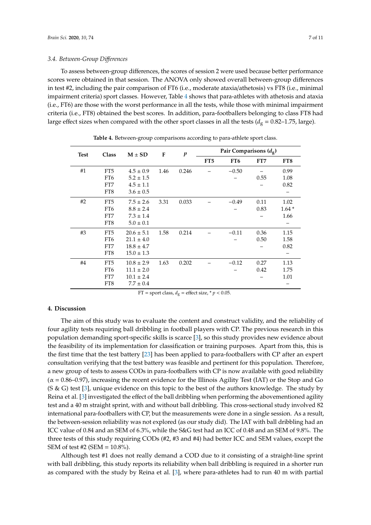To assess between-group differences, the scores of session 2 were used because better performance scores were obtained in that session. The ANOVA only showed overall between-group differences in test #2, including the pair comparison of FT6 (i.e., moderate ataxia/athetosis) vs FT8 (i.e., minimal impairment criteria) sport classes. However, Table [4](#page-6-0) shows that para-athletes with athetosis and ataxia (i.e., FT6) are those with the worst performance in all the tests, while those with minimal impairment criteria (i.e., FT8) obtained the best scores. In addition, para-footballers belonging to class FT8 had large effect sizes when compared with the other sport classes in all the tests ( $d_g = 0.82$ –1.75, large).

<span id="page-6-0"></span>

| <b>Test</b> | <b>Class</b>    | $M \pm SD$     | F    | $\boldsymbol{p}$ | Pair Comparisons $(d_{\mathbf{g}})$ |                 |      |                 |
|-------------|-----------------|----------------|------|------------------|-------------------------------------|-----------------|------|-----------------|
|             |                 |                |      |                  | FT <sub>5</sub>                     | FT <sub>6</sub> | FT7  | FT <sub>8</sub> |
| #1          | FT <sub>5</sub> | $4.5 \pm 0.9$  | 1.46 | 0.246            |                                     | $-0.50$         |      | 0.99            |
|             | FT <sub>6</sub> | $5.2 \pm 1.5$  |      |                  |                                     |                 | 0.55 | 1.08            |
|             | FT7             | $4.5 \pm 1.1$  |      |                  |                                     |                 |      | 0.82            |
|             | FT8             | $3.6 \pm 0.5$  |      |                  |                                     |                 |      |                 |
| #2          | FT <sub>5</sub> | $7.5 \pm 2.6$  | 3.31 | 0.033            |                                     | $-0.49$         | 0.11 | 1.02            |
|             | FT <sub>6</sub> | $8.8 \pm 2.4$  |      |                  |                                     |                 | 0.83 | $1.64*$         |
|             | FT7             | $7.3 \pm 1.4$  |      |                  |                                     |                 |      | 1.66            |
|             | FT8             | $5.0 \pm 0.1$  |      |                  |                                     |                 |      |                 |
| #3          | FT <sub>5</sub> | $20.6 \pm 5.1$ | 1.58 | 0.214            |                                     | $-0.11$         | 0.36 | 1.15            |
|             | FT <sub>6</sub> | $21.1 \pm 4.0$ |      |                  |                                     |                 | 0.50 | 1.58            |
|             | FT7             | $18.8 \pm 4.7$ |      |                  |                                     |                 |      | 0.82            |
|             | FT8             | $15.0 \pm 1.3$ |      |                  |                                     |                 |      | -               |
| #4          | FT <sub>5</sub> | $10.8 \pm 2.9$ | 1.63 | 0.202            |                                     | $-0.12$         | 0.27 | 1.13            |
|             | FT <sub>6</sub> | $11.1 \pm 2.0$ |      |                  |                                     |                 | 0.42 | 1.75            |
|             | FT7             | $10.1 \pm 2.4$ |      |                  |                                     |                 |      | 1.01            |
|             | FT8             | $7.7 \pm 0.4$  |      |                  |                                     |                 |      |                 |

**Table 4.** Between-group comparisons according to para-athlete sport class.

FT = sport class,  $d_g$  = effect size,  $* p < 0.05$ .

### **4. Discussion**

The aim of this study was to evaluate the content and construct validity, and the reliability of four agility tests requiring ball dribbling in football players with CP. The previous research in this population demanding sport-specific skills is scarce [\[3\]](#page-9-0), so this study provides new evidence about the feasibility of its implementation for classification or training purposes. Apart from this, this is the first time that the test battery [\[23\]](#page-9-20) has been applied to para-footballers with CP after an expert consultation verifying that the test battery was feasible and pertinent for this population. Therefore, a new group of tests to assess CODs in para-footballers with CP is now available with good reliability  $(\alpha = 0.86$ –0.97), increasing the recent evidence for the Illinois Agility Test (IAT) or the Stop and Go (S & G) test [\[3\]](#page-9-0), unique evidence on this topic to the best of the authors knowledge. The study by Reina et al. [\[3\]](#page-9-0) investigated the effect of the ball dribbling when performing the abovementioned agility test and a 40 m straight sprint, with and without ball dribbling. This cross-sectional study involved 82 international para-footballers with CP, but the measurements were done in a single session. As a result, the between-session reliability was not explored (as our study did). The IAT with ball dribbling had an ICC value of 0.84 and an SEM of 6.3%, while the S&G test had an ICC of 0.48 and an SEM of 9.8%. The three tests of this study requiring CODs (#2, #3 and #4) had better ICC and SEM values, except the SEM of test #2 (SEM = 10.8%).

Although test #1 does not really demand a COD due to it consisting of a straight-line sprint with ball dribbling, this study reports its reliability when ball dribbling is required in a shorter run as compared with the study by Reina et al. [\[3\]](#page-9-0), where para-athletes had to run 40 m with partial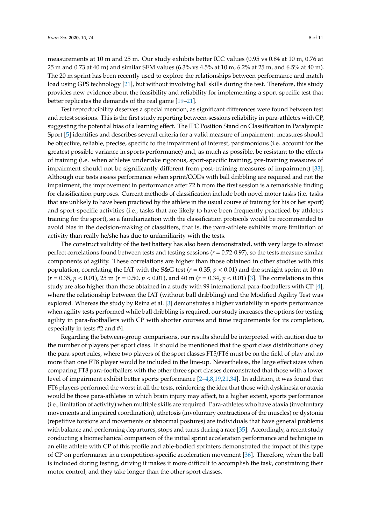measurements at 10 m and 25 m. Our study exhibits better ICC values (0.95 vs 0.84 at 10 m, 0.76 at 25 m and 0.73 at 40 m) and similar SEM values (6.3% vs 4.5% at 10 m, 6.2% at 25 m, and 6.5% at 40 m). The 20 m sprint has been recently used to explore the relationships between performance and match load using GPS technology [\[21\]](#page-9-18), but without involving ball skills during the test. Therefore, this study provides new evidence about the feasibility and reliability for implementing a sport-specific test that better replicates the demands of the real game [\[19–](#page-9-16)[21\]](#page-9-18).

Test reproducibility deserves a special mention, as significant differences were found between test and retest sessions. This is the first study reporting between-sessions reliability in para-athletes with CP, suggesting the potential bias of a learning effect. The IPC Position Stand on Classification in Paralympic Sport [\[5\]](#page-9-2) identifies and describes several criteria for a valid measure of impairment: measures should be objective, reliable, precise, specific to the impairment of interest, parsimonious (i.e. account for the greatest possible variance in sports performance) and, as much as possible, be resistant to the effects of training (i.e. when athletes undertake rigorous, sport-specific training, pre-training measures of impairment should not be significantly different from post-training measures of impairment) [\[33\]](#page-10-7). Although our tests assess performance when sprint/CODs with ball dribbling are required and not the impairment, the improvement in performance after 72 h from the first session is a remarkable finding for classification purposes. Current methods of classification include both novel motor tasks (i.e. tasks that are unlikely to have been practiced by the athlete in the usual course of training for his or her sport) and sport-specific activities (i.e., tasks that are likely to have been frequently practiced by athletes training for the sport), so a familiarization with the classification protocols would be recommended to avoid bias in the decision-making of classifiers, that is, the para-athlete exhibits more limitation of activity than really he/she has due to unfamiliarity with the tests.

The construct validity of the test battery has also been demonstrated, with very large to almost perfect correlations found between tests and testing sessions (*r* = 0.72-0.97), so the tests measure similar components of agility. These correlations are higher than those obtained in other studies with this population, correlating the IAT with the S&G test ( $r = 0.35$ ,  $p < 0.01$ ) and the straight sprint at 10 m (*r* = 0.35, *p* < 0.01), 25 m (*r* = 0.50, *p* < 0.01), and 40 m (*r* = 0.34, *p* < 0.01) [\[3\]](#page-9-0). The correlations in this study are also higher than those obtained in a study with 99 international para-footballers with CP [\[4\]](#page-9-1), where the relationship between the IAT (without ball dribbling) and the Modified Agility Test was explored. Whereas the study by Reina et al. [\[3\]](#page-9-0) demonstrates a higher variability in sports performance when agility tests performed while ball dribbling is required, our study increases the options for testing agility in para-footballers with CP with shorter courses and time requirements for its completion, especially in tests #2 and #4.

Regarding the between-group comparisons, our results should be interpreted with caution due to the number of players per sport class. It should be mentioned that the sport class distributions obey the para-sport rules, where two players of the sport classes FT5/FT6 must be on the field of play and no more than one FT8 player would be included in the line-up. Nevertheless, the large effect sizes when comparing FT8 para-footballers with the other three sport classes demonstrated that those with a lower level of impairment exhibit better sports performance [\[2–](#page-8-1)[4,](#page-9-1)[8,](#page-9-5)[19,](#page-9-16)[21,](#page-9-18)[34\]](#page-10-8). In addition, it was found that FT6 players performed the worst in all the tests, reinforcing the idea that those with dyskinesia or ataxia would be those para-athletes in which brain injury may affect, to a higher extent, sports performance (i.e., limitation of activity) when multiple skills are required. Para-athletes who have ataxia (involuntary movements and impaired coordination), athetosis (involuntary contractions of the muscles) or dystonia (repetitive torsions and movements or abnormal postures) are individuals that have general problems with balance and performing departures, stops and turns during a race [\[35\]](#page-10-9). Accordingly, a recent study conducting a biomechanical comparison of the initial sprint acceleration performance and technique in an elite athlete with CP of this profile and able-bodied sprinters demonstrated the impact of this type of CP on performance in a competition-specific acceleration movement [\[36\]](#page-10-10). Therefore, when the ball is included during testing, driving it makes it more difficult to accomplish the task, constraining their motor control, and they take longer than the other sport classes.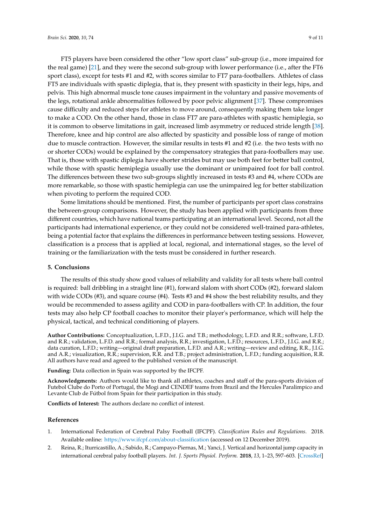FT5 players have been considered the other "low sport class" sub-group (i.e., more impaired for the real game) [\[21\]](#page-9-18), and they were the second sub-group with lower performance (i.e., after the FT6 sport class), except for tests #1 and #2, with scores similar to FT7 para-footballers. Athletes of class FT5 are individuals with spastic diplegia, that is, they present with spasticity in their legs, hips, and pelvis. This high abnormal muscle tone causes impairment in the voluntary and passive movements of the legs, rotational ankle abnormalities followed by poor pelvic alignment [\[37\]](#page-10-11). These compromises cause difficulty and reduced steps for athletes to move around, consequently making them take longer to make a COD. On the other hand, those in class FT7 are para-athletes with spastic hemiplegia, so it is common to observe limitations in gait, increased limb asymmetry or reduced stride length [\[38\]](#page-10-12). Therefore, knee and hip control are also affected by spasticity and possible loss of range of motion due to muscle contraction. However, the similar results in tests #1 and #2 (i.e. the two tests with no or shorter CODs) would be explained by the compensatory strategies that para-footballers may use. That is, those with spastic diplegia have shorter strides but may use both feet for better ball control, while those with spastic hemiplegia usually use the dominant or unimpaired foot for ball control. The differences between these two sub-groups slightly increased in tests #3 and #4, where CODs are more remarkable, so those with spastic hemiplegia can use the unimpaired leg for better stabilization when pivoting to perform the required COD.

Some limitations should be mentioned. First, the number of participants per sport class constrains the between-group comparisons. However, the study has been applied with participants from three different countries, which have national teams participating at an international level. Second, not all the participants had international experience, or they could not be considered well-trained para-athletes, being a potential factor that explains the differences in performance between testing sessions. However, classification is a process that is applied at local, regional, and international stages, so the level of training or the familiarization with the tests must be considered in further research.

### **5. Conclusions**

The results of this study show good values of reliability and validity for all tests where ball control is required: ball dribbling in a straight line (#1), forward slalom with short CODs (#2), forward slalom with wide CODs (#3), and square course (#4). Tests #3 and #4 show the best reliability results, and they would be recommended to assess agility and COD in para-footballers with CP. In addition, the four tests may also help CP football coaches to monitor their player's performance, which will help the physical, tactical, and technical conditioning of players.

**Author Contributions:** Conceptualization, L.F.D., J.I.G. and T.B.; methodology, L.F.D. and R.R.; software, L.F.D. and R.R.; validation, L.F.D. and R.R.; formal analysis, R.R.; investigation, L.F.D.; resources, L.F.D., J.I.G. and R.R.; data curation, L.F.D.; writing—original draft preparation, L.F.D. and A.R.; writing—review and editing, R.R., J.I.G. and A.R.; visualization, R.R.; supervision, R.R. and T.B.; project administration, L.F.D.; funding acquisition, R.R. All authors have read and agreed to the published version of the manuscript.

**Funding:** Data collection in Spain was supported by the IFCPF.

**Acknowledgments:** Authors would like to thank all athletes, coaches and staff of the para-sports division of Futebol Clube do Porto of Portugal, the Mogi and CENDEF teams from Brazil and the Hercules Paralimpico and Levante Club de Fútbol from Spain for their participation in this study.

**Conflicts of Interest:** The authors declare no conflict of interest.

### **References**

- <span id="page-8-0"></span>1. International Federation of Cerebral Palsy Football (IFCPF). *Classification Rules and Regulations*. 2018. Available online: https://www.ifcpf.com/[about-classification](https://www.ifcpf.com/about-classification) (accessed on 12 December 2019).
- <span id="page-8-1"></span>2. Reina, R.; Iturricastillo, A.; Sabido, R.; Campayo-Piernas, M.; Yanci, J. Vertical and horizontal jump capacity in international cerebral palsy football players. *Int. J. Sports Physiol. Perform.* **2018**, *13*, 1–23, 597–603. [\[CrossRef\]](http://dx.doi.org/10.1123/ijspp.2017-0321)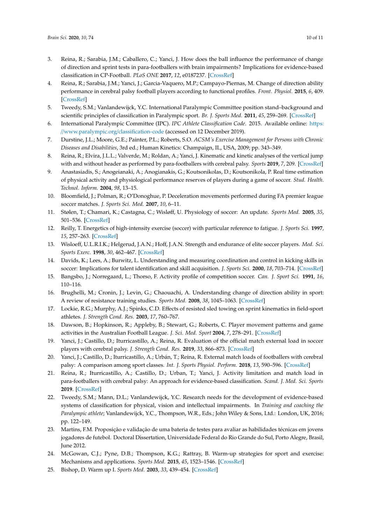- <span id="page-9-0"></span>3. Reina, R.; Sarabia, J.M.; Caballero, C.; Yanci, J. How does the ball influence the performance of change of direction and sprint tests in para-footballers with brain impairments? Implications for evidence-based classification in CP-Football. *PLoS ONE* **2017**, *12*, e0187237. [\[CrossRef\]](http://dx.doi.org/10.1371/journal.pone.0187237)
- <span id="page-9-1"></span>4. Reina, R.; Sarabia, J.M.; Yanci, J.; Garcia-Vaquero, M.P.; Campayo-Piernas, M. Change of direction ability performance in cerebral palsy football players according to functional profiles. *Front. Physiol.* **2015**, *6*, 409. [\[CrossRef\]](http://dx.doi.org/10.3389/fphys.2015.00409)
- <span id="page-9-2"></span>5. Tweedy, S.M.; Vanlandewijck, Y.C. International Paralympic Committee position stand–background and scientific principles of classification in Paralympic sport. *Br. J. Sports Med.* **2011**, *45*, 259–269. [\[CrossRef\]](http://dx.doi.org/10.1136/bjsm.2009.065060)
- <span id="page-9-3"></span>6. International Paralympic Committee (IPC). *IPC Athlete Classification Code*. 2015. Available online: [https:](https://www.paralympic.org/classification-code) //[www.paralympic.org](https://www.paralympic.org/classification-code)/classification-code (accessed on 12 December 2019).
- <span id="page-9-4"></span>7. Durstine, J.L.; Moore, G.E.; Painter, P.L.; Roberts, S.O. *ACSM´s Exercise Management for Persons with Chronic Diseases and Disabilities*, 3rd ed.; Human Kinetics: Champaign, IL, USA, 2009; pp. 343–349.
- <span id="page-9-5"></span>8. Reina, R.; Elvira, J.L.L.; Valverde, M.; Roldan, A.; Yanci, J. Kinematic and kinetic analyses of the vertical jump with and without header as performed by para-footballers with cerebral palsy. *Sports* **2019**, *7*, 209. [\[CrossRef\]](http://dx.doi.org/10.3390/sports7090209)
- <span id="page-9-6"></span>9. Anastasiadis, S.; Anogeianaki, A.; Anogianakis, G.; Koutsonikolas, D.; Koutsonikola, P. Real time estimation of physical activity and physiological performance reserves of players during a game of soccer. *Stud. Health. Technol. Inform.* **2004**, *98*, 13–15.
- <span id="page-9-7"></span>10. Bloomfield, J.; Polman, R.; O'Donoghue, P. Deceleration movements performed during FA premier league soccer matches. *J. Sports Sci. Med.* **2007**, *10*, 6–11.
- <span id="page-9-8"></span>11. Stølen, T.; Chamari, K.; Castagna, C.; Wisløff, U. Physiology of soccer: An update. *Sports Med.* **2005**, *35*, 501–536. [\[CrossRef\]](http://dx.doi.org/10.2165/00007256-200535060-00004)
- <span id="page-9-9"></span>12. Reilly, T. Energetics of high-intensity exercise (soccer) with particular reference to fatigue. *J. Sports Sci.* **1997**, *15*, 257–263. [\[CrossRef\]](http://dx.doi.org/10.1080/026404197367263)
- <span id="page-9-10"></span>13. Wisloeff, U.L.R.I.K.; Helgerud, J.A.N.; Hoff, J.A.N. Strength and endurance of elite soccer players. *Med. Sci. Sports Exerc.* **1998**, *30*, 462–467. [\[CrossRef\]](http://dx.doi.org/10.1097/00005768-199803000-00019)
- <span id="page-9-11"></span>14. Davids, K.; Lees, A.; Burwitz, L. Understanding and measuring coordination and control in kicking skills in soccer: Implications for talent identification and skill acquisition. *J. Sports Sci.* **2000**, *18*, 703–714. [\[CrossRef\]](http://dx.doi.org/10.1080/02640410050120087)
- <span id="page-9-12"></span>15. Bangsbo, J.; Norregaard, L.; Thorso, F. Activity profile of competition soccer. *Can. J. Sport Sci.* **1991**, *16*, 110–116.
- <span id="page-9-13"></span>16. Brughelli, M.; Cronin, J.; Levin, G.; Chaouachi, A. Understanding change of direction ability in sport: A review of resistance training studies. *Sports Med.* **2008**, *38*, 1045–1063. [\[CrossRef\]](http://dx.doi.org/10.2165/00007256-200838120-00007)
- <span id="page-9-14"></span>17. Lockie, R.G.; Murphy, A.J.; Spinks, C.D. Effects of resisted sled towing on sprint kinematics in field-sport athletes. *J. Strength Cond. Res.* **2003**, *17*, 760–767.
- <span id="page-9-15"></span>18. Dawson, B.; Hopkinson, R.; Appleby, B.; Stewart, G.; Roberts, C. Player movement patterns and game activities in the Australian Football League. *J. Sci. Med. Sport* **2004**, *7*, 278–291. [\[CrossRef\]](http://dx.doi.org/10.1016/S1440-2440(04)80023-9)
- <span id="page-9-16"></span>19. Yanci, J.; Castillo, D.; Iturricastillo, A.; Reina, R. Evaluation of the official match external load in soccer players with cerebral palsy. *J. Strength Cond. Res.* **2019**, *33*, 866–873. [\[CrossRef\]](http://dx.doi.org/10.1519/JSC.0000000000002085)
- <span id="page-9-17"></span>20. Yanci, J.; Castillo, D.; Iturricastillo, A.; Urbán, T.; Reina, R. External match loads of footballers with cerebral palsy: A comparison among sport classes. *Int. J. Sports Physiol. Perform.* **2018**, *13*, 590–596. [\[CrossRef\]](http://dx.doi.org/10.1123/ijspp.2017-0042)
- <span id="page-9-18"></span>21. Reina, R.; Iturricastillo, A.; Castillo, D.; Urban, T.; Yanci, J. Activity limitation and match load in para-footballers with cerebral palsy: An approach for evidence-based classification. *Scand. J. Med. Sci. Sports* **2019**. [\[CrossRef\]](http://dx.doi.org/10.1111/sms.13583)
- <span id="page-9-19"></span>22. Tweedy, S.M.; Mann, D.L.; Vanlandewijck, Y.C. Research needs for the development of evidence-based systems of classification for physical, vision and intellectual impairments. In *Training and coaching the Paralympic athlete*; Vanlandewijck, Y.C., Thompson, W.R., Eds.; John Wiley & Sons, Ltd.: London, UK, 2016; pp. 122–149.
- <span id="page-9-20"></span>23. Martins, F.M. Proposição e validação de uma bateria de testes para avaliar as habilidades técnicas em jovens jogadores de futebol. Doctoral Dissertation, Universidade Federal do Rio Grande do Sul, Porto Alegre, Brasil, June 2012.
- <span id="page-9-21"></span>24. McGowan, C.J.; Pyne, D.B.; Thompson, K.G.; Rattray, B. Warm-up strategies for sport and exercise: Mechanisms and applications. *Sports Med.* **2015**, *45*, 1523–1546. [\[CrossRef\]](http://dx.doi.org/10.1007/s40279-015-0376-x)
- <span id="page-9-22"></span>25. Bishop, D. Warm up I. *Sports Med.* **2003**, *33*, 439–454. [\[CrossRef\]](http://dx.doi.org/10.2165/00007256-200333060-00005)